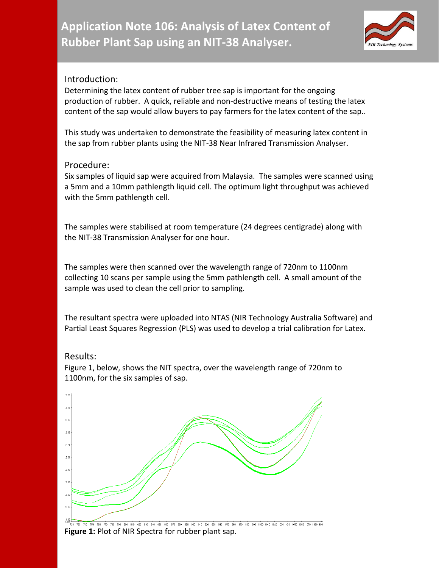

## Introduction:

Determining the latex content of rubber tree sap is important for the ongoing production of rubber. A quick, reliable and non-destructive means of testing the latex content of the sap would allow buyers to pay farmers for the latex content of the sap..

This study was undertaken to demonstrate the feasibility of measuring latex content in the sap from rubber plants using the NIT-38 Near Infrared Transmission Analyser.

## Procedure:

Six samples of liquid sap were acquired from Malaysia. The samples were scanned using a 5mm and a 10mm pathlength liquid cell. The optimum light throughput was achieved with the 5mm pathlength cell.

The samples were stabilised at room temperature (24 degrees centigrade) along with the NIT-38 Transmission Analyser for one hour.

The samples were then scanned over the wavelength range of 720nm to 1100nm collecting 10 scans per sample using the 5mm pathlength cell. A small amount of the sample was used to clean the cell prior to sampling.

The resultant spectra were uploaded into NTAS (NIR Technology Australia Software) and Partial Least Squares Regression (PLS) was used to develop a trial calibration for Latex.

### Results:

Figure 1, below, shows the NIT spectra, over the wavelength range of 720nm to 1100nm, for the six samples of sap.



# **Figure 1:** Plot of NIR Spectra for rubber plant sap.